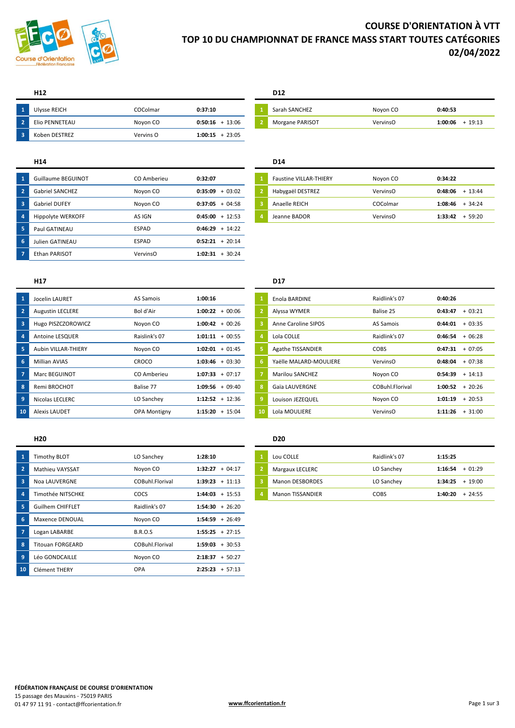

# **COURSE D'ORIENTATION À VTT TOP 10 DU CHAMPIONNAT DE FRANCE MASS START TOUTES CATÉGORIES 02/04/2022**

## **H12 D12**

| $\sqrt{1}$     | Ulysse REICH   | COColmar  | 0:37:10           | Sarah SANCHEZ   | Noyon CO        | 0:40:53 |       |
|----------------|----------------|-----------|-------------------|-----------------|-----------------|---------|-------|
| $\blacksquare$ | Elio PENNETEAU | Noyon CO  | $0:50:16 + 13:06$ | Morgane PARISOT | <b>VervinsO</b> | 1:00:06 | 19:13 |
| - 3            | Koben DESTREZ  | Vervins O | $1:00:15 + 23:05$ |                 |                 |         |       |

| Sarah SANCHEZ   | Noyon CO | 0:40:53           |
|-----------------|----------|-------------------|
| Morgane PARISOT | VervinsO | $1:00:06 + 19:13$ |

### **H14 D14**

| -1                      | Guillaume BEGUINOT     | CO Amberieu | 0:32:07           |   | <b>Faustine VILLAR-THIERY</b> | Noyon CO | 0:34:22 |           |
|-------------------------|------------------------|-------------|-------------------|---|-------------------------------|----------|---------|-----------|
| $\overline{2}$          | <b>Gabriel SANCHEZ</b> | Noyon CO    | $0:35:09 + 03:02$ |   | Habygaël DESTREZ              | VervinsO | 0:48:06 | $+ 13:44$ |
| $\overline{\mathbf{3}}$ | <b>Gabriel DUFEY</b>   | Noyon CO    | $0:37:05 + 04:58$ | в | Anaelle REICH                 | COColmar | 1:08:46 | 34:24     |
| 4                       | Hippolyte WERKOFF      | AS IGN      | $0:45:00 + 12:53$ |   | Jeanne BADOR                  | VervinsO | 1:33:42 | 59:20     |
| 5                       | Paul GATINEAU          | ESPAD       | $0:46:29 + 14:22$ |   |                               |          |         |           |
| 6                       | Julien GATINEAU        | ESPAD       | $0:52:21 + 20:14$ |   |                               |          |         |           |
|                         | Ethan PARISOT          | VervinsO    | $1:02:31 + 30:24$ |   |                               |          |         |           |
|                         |                        |             |                   |   |                               |          |         |           |

|          | Jocelin LAURET          | AS Samois           | 1:00:16             |              | Enola BARDINE            | Raidlink's 07   | 0:40:26 |           |
|----------|-------------------------|---------------------|---------------------|--------------|--------------------------|-----------------|---------|-----------|
|          | <b>Augustin LECLERE</b> | Bol d'Air           | $1:00:22 + 00:06$   |              | Alyssa WYMER             | Balise 25       | 0:43:47 | $+03:21$  |
| 3        | Hugo PISZCZOROWICZ      | Noyon CO            | $1:00:42 + 00:26$   |              | Anne Caroline SIPOS      | AS Samois       | 0:44:01 | $+03:35$  |
|          | Antoine LESQUER         | Raislink's 07       | $1:01:11 + 00:55$   |              | Lola COLLE               | Raidlink's 07   | 0:46:54 | $+06:28$  |
|          | Aubin VILLAR-THIERY     | Noyon CO            | $1:02:01 + 01:45$   |              | <b>Agathe TISSANDIER</b> | <b>COBS</b>     | 0:47:31 | $+07:05$  |
|          | <b>Millian AVIAS</b>    | CROCO               | $1:03:46 + 03:30$   | 6            | Yaëlle MALARD-MOULIERE   | VervinsO        | 0:48:04 | $+07:38$  |
|          | <b>Marc BEGUINOT</b>    | CO Amberieu         | $1:07:33 + 07:17$   |              | <b>Marilou SANCHEZ</b>   | Noyon CO        | 0:54:39 | $+ 14:13$ |
|          | Remi BROCHOT            | Balise 77           | $+09:40$<br>1:09:56 | $\mathbf{R}$ | Gaïa LAUVERGNE           | COBuhl.Florival | 1:00:52 | $+20:26$  |
| <b>q</b> | Nicolas LECLERC         | LO Sanchev          | $1:12:52 + 12:36$   | -9           | Louison JEZEQUEL         | Noyon CO        | 1:01:19 | $+20:53$  |
| 10       | <b>Alexis LAUDET</b>    | <b>OPA Montigny</b> | $1:15:20 + 15:04$   | 10           | Lola MOULIERE            | VervinsO        | 1:11:26 | $+31:00$  |

|    | Timothy BLOT            | LO Sanchey      | 1:28:10           |                | Lou COLLE               | Raidlink's 07 | 1:15:25 |          |
|----|-------------------------|-----------------|-------------------|----------------|-------------------------|---------------|---------|----------|
|    | <b>Mathieu VAYSSAT</b>  | Noyon CO        | $1:32:27 + 04:17$ |                | Margaux LECLERC         | LO Sanchey    | 1:16:54 | $+01:29$ |
| 3  | Noa LAUVERGNE           | COBuhl.Florival | $1:39:23 + 11:13$ | $\overline{3}$ | <b>Manon DESBORDES</b>  | LO Sanchey    | 1:34:25 | $+19:00$ |
| 4  | Timothée NITSCHKE       | COCS            | $1:44:03 + 15:53$ |                | <b>Manon TISSANDIER</b> | COBS          | 1:40:20 | $+24:55$ |
| 5  | <b>Guilhem CHIFFLET</b> | Raidlink's 07   | $1:54:30 + 26:20$ |                |                         |               |         |          |
| 6  | Maxence DENOUAL         | Noyon CO        | $1:54:59 + 26:49$ |                |                         |               |         |          |
|    | Logan LABARBE           | <b>B.R.O.S</b>  | $1:55:25 + 27:15$ |                |                         |               |         |          |
| 8  | <b>Titouan FORGEARD</b> | COBuhl.Florival | $1:59:03 + 30:53$ |                |                         |               |         |          |
| 9  | Léo GONDCAILLE          | Novon CO        | $2:18:37 + 50:27$ |                |                         |               |         |          |
| 10 | Clément THERY           | <b>OPA</b>      | $2:25:23 + 57:13$ |                |                         |               |         |          |

## **H17 D17**

| 1              | Enola BARDINE          | Raidlink's 07   | 0:40:26 |          |
|----------------|------------------------|-----------------|---------|----------|
| $\overline{2}$ | Alyssa WYMER           | Balise 25       | 0:43:47 | $+03:21$ |
| 3              | Anne Caroline SIPOS    | AS Samois       | 0:44:01 | $+03:35$ |
| 4              | Lola COLLE             | Raidlink's 07   | 0:46:54 | $+06:28$ |
| 5              | Agathe TISSANDIER      | COBS            | 0:47:31 | $+07:05$ |
| 6              | Yaëlle MALARD-MOULIERE | VervinsO        | 0:48:04 | $+07:38$ |
| $\overline{7}$ | Marilou SANCHEZ        | Noyon CO        | 0:54:39 | $+14:13$ |
| 8              | Gaïa LAUVERGNE         | COBuhl Florival | 1:00:52 | $+20:26$ |
| 9              | Louison JEZEQUEL       | Novon CO        | 1:01:19 | $+20:53$ |
| 10             | Lola MOULIERE          | VervinsO        | 1:11:26 | $+31:00$ |

### **H20 D20**

| Lou COLLE               | Raidlink's 07 | 1:15:25             |
|-------------------------|---------------|---------------------|
| Margaux LECLERC         | LO Sanchey    | $1:16:54 + 01:29$   |
| <b>Manon DESBORDES</b>  | LO Sanchey    | $1:34:25 + 19:00$   |
| <b>Manon TISSANDIER</b> | COBS          | $+24:55$<br>1:40:20 |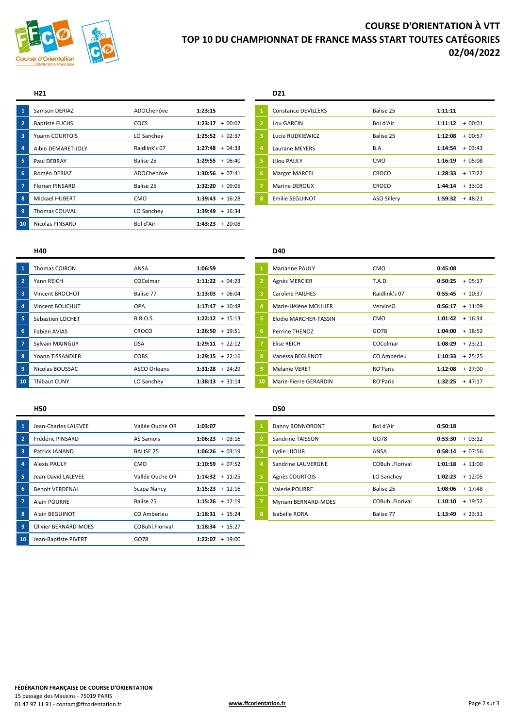

# **COURSE D'ORIENTATION À VTT TOP 10 DU CHAMPIONNAT DE FRANCE MASS START TOUTES CATÉGORIES 02/04/2022**

| W.                                                  | <b>Samson DERIAZ</b>   | ADOChenôve    | 1:23:15             |   | <b>Constance DEVILLERS</b> | Balise 25   | 1:11:11 |          |
|-----------------------------------------------------|------------------------|---------------|---------------------|---|----------------------------|-------------|---------|----------|
| $\overline{\phantom{a}}$ 2 $\overline{\phantom{a}}$ | <b>Baptiste FUCHS</b>  | COCS          | 1:23:17<br>$+00:02$ |   | Lou GARCIN                 | Bol d'Air   | 1:11:12 | $+00:01$ |
| -3                                                  | Yoann COURTOIS         | LO Sanchey    | $1:25:52 + 02:37$   | 3 | Lucie RUDKIEWICZ           | Balise 25   | 1:12:08 | $+00:57$ |
| $\overline{4}$                                      | Albin DEMARET-JOLY     | Raidlink's 07 | $1:27:48 + 04:33$   |   | Laurane MEYERS             | B.A         | 1:14:54 | $+03:43$ |
| 5                                                   | Paul DEBRAY            | Balise 25     | $1:29:55 + 06:40$   |   | <b>Lilou PAULY</b>         | <b>CMO</b>  | 1:16:19 | $+05:08$ |
| 6                                                   | Roméo DERIAZ           | ADOChenôve    | $1:30:56 + 07:41$   | 6 | <b>Margot MARCEL</b>       | CROCO       | 1:28:33 | $+17:22$ |
| - 7                                                 | <b>Florian PINSARD</b> | Balise 25     | $1:32:20 + 09:05$   |   | <b>Marine DEROUX</b>       | CROCO       | 1:44:14 | $+33:03$ |
| 8                                                   | <b>Mickael HUBERT</b>  | <b>CMO</b>    | $1:39:43 + 16:28$   | 8 | Emilie SEGUINOT            | ASO Sillery | 1:59:32 | $+48:21$ |
| $\overline{9}$                                      | Thomas COUVAL          | LO Sanchey    | $1:39:49 + 16:34$   |   |                            |             |         |          |
| 10                                                  | <b>Nicolas PINSARD</b> | Bol d'Air     | $1:43:23 + 20:08$   |   |                            |             |         |          |
|                                                     |                        |               |                     |   |                            |             |         |          |

### **H21 D21**

| $\mathbf{1}$   | <b>Constance DEVILLERS</b> | Balise 25          | 1:11:11 |          |
|----------------|----------------------------|--------------------|---------|----------|
| $\overline{2}$ | Lou GARCIN                 | Bol d'Air          | 1:11:12 | $+00:01$ |
| 3              | Lucie RUDKIEWICZ           | Balise 25          | 1:12:08 | $+00:57$ |
| $\overline{a}$ | Laurane MEYERS             | B.A                | 1:14:54 | $+03:43$ |
| 5              | <b>Lilou PAULY</b>         | <b>CMO</b>         | 1:16:19 | $+05:08$ |
| 6              | <b>Margot MARCEL</b>       | CROCO              | 1:28:33 | $+17:22$ |
| $\overline{7}$ | Marine DEROUX              | CROCO              | 1:44:14 | $+33:03$ |
| 8              | Emilie SEGUINOT            | <b>ASO Sillery</b> | 1:59:32 | $+48:21$ |
|                |                            |                    |         |          |

|    | <b>Thomas COIRON</b> | ANSA                | 1:06:59           |    | <b>Marianne PAULY</b>   | <b>CMO</b>    | 0:45:08 |           |
|----|----------------------|---------------------|-------------------|----|-------------------------|---------------|---------|-----------|
|    | Yann REICH           | COColmar            | $1:11:22 + 04:23$ |    | Agnès MERCIER           | <b>T.A.D.</b> | 0:50:25 | $+05:17$  |
| 3  | Vincent BROCHOT      | Balise 77           | $1:13:03 + 06:04$ |    | <b>Caroline PAILHES</b> | Raidlink's 07 | 0:55:45 | $+10:37$  |
|    | Vincent BOUCHUT      | OPA                 | $1:17:47 + 10:48$ |    | Marie-Hélène MOULIER    | VervinsO      | 0:56:17 | $+ 11:09$ |
| 5  | Sebastien LOCHET     | <b>B.R.O.S.</b>     | $1:22:12 + 15:13$ |    | Elodie MARCHER-TASSIN   | <b>CMO</b>    | 1:01:42 | $+ 16:34$ |
| -6 | Fabien AVIAS         | CROCO               | $1:26:50 + 19:51$ | 6  | Perrine THENOZ          | GO78          | 1:04:00 | $+18:52$  |
|    | Sylvain MAINGUY      | <b>DSA</b>          | $1:29:11 + 22:12$ |    | Elise REICH             | COColmar      | 1:08:29 | $+23:21$  |
| 8  | Yoann TISSANDIER     | <b>COBS</b>         | $1:29:15 + 22:16$ | 8  | Vanessa BEGUINOT        | CO Amberieu   | 1:10:33 | $+25:25$  |
|    | Nicolas BOUSSAC      | <b>ASCO Orleans</b> | $1:31:28 + 24:29$ | 9  | <b>Melanie VERET</b>    | RO'Paris      | 1:12:08 | $+27:00$  |
| 10 | <b>Thibaut CUNY</b>  | LO Sanchey          | $1:38:13 + 31:14$ | 10 | Marie-Pierre GERARDIN   | RO'Paris      | 1:32:25 | $+47:17$  |
|    |                      |                     |                   |    |                         |               |         |           |

| $\overline{\mathbf{1}}$ | Jean-Charles LALEVEE        | Vallée Ouche OR  | 1:03:07           |   | Danny BONNORONT      | Bol d'Air       | 0:50:18 |           |
|-------------------------|-----------------------------|------------------|-------------------|---|----------------------|-----------------|---------|-----------|
| $\overline{2}$          | Frédéric PINSARD            | AS Samois        | $1:06:23 + 03:16$ |   | Sandrine TAISSON     | GO78            | 0:53:30 | $+03:12$  |
| $\overline{\mathbf{3}}$ | Patrick JANAND              | <b>BALISE 25</b> | $1:06:26 + 03:19$ | 3 | Lydie LIJOUR         | ANSA            | 0:58:14 | $+07:56$  |
| $\overline{4}$          | <b>Alexis PAULY</b>         | <b>CMO</b>       | $1:10:59 + 07:52$ |   | Sandrine LAUVERGNE   | COBuhl.Florival | 1:01:18 | $+11:00$  |
| 5                       | Jean-David LALEVEE          | Vallée Ouche OR  | $1:14:32 + 11:25$ |   | Agnès COURTOIS       | LO Sanchey      | 1:02:23 | $+ 12:05$ |
| $6\phantom{1}6$         | <b>Benoit VERDENAL</b>      | Scapa Nancy      | $1:15:23 + 12:16$ | 6 | Valerie POURRE       | Balise 25       | 1:08:06 | $+ 17:48$ |
| $\overline{7}$          | <b>Alain POURRE</b>         | Balise 25        | $1:15:26 + 12:19$ |   | Myriam BERNARD-MOES  | COBuhl.Florival | 1:10:10 | $+19:52$  |
| 8                       | Alain BEGUINOT              | CO Amberieu      | $1:18:31 + 15:24$ | 8 | <b>Isabelle RORA</b> | Balise 77       | 1:13:49 | $+23:31$  |
| $\overline{9}$          | <b>Olivier BERNARD-MOES</b> | COBuhl.Florival  | $1:18:34 + 15:27$ |   |                      |                 |         |           |
| 10                      | Jean-Baptiste PIVERT        | GO78             | $1:22:07 + 19:00$ |   |                      |                 |         |           |
|                         |                             |                  |                   |   |                      |                 |         |           |

### **H40 D40**

| $\mathbf{1}$   | <b>Marianne PAULY</b>   | CMO           | 0:45:08 |          |
|----------------|-------------------------|---------------|---------|----------|
| $\overline{2}$ | Agnès MERCIER           | <b>T.A.D.</b> | 0:50:25 | $+05:17$ |
| 3              | <b>Caroline PAILHES</b> | Raidlink's 07 | 0:55:45 | $+10:37$ |
| 4              | Marie-Hélène MOULIER    | VervinsO      | 0:56:17 | $+11:09$ |
| 5.             | Elodie MARCHER-TASSIN   | CMO           | 1:01:42 | $+16:34$ |
| 6              | Perrine THENOZ          | GO78          | 1:04:00 | $+18:52$ |
| 7              | Elise REICH             | COColmar      | 1:08:29 | $+23:21$ |
| 8              | Vanessa BEGUINOT        | CO Amberieu   | 1:10:33 | $+25:25$ |
| 9              | <b>Melanie VERET</b>    | RO'Paris      | 1:12:08 | $+27:00$ |
| 10             | Marie-Pierre GERARDIN   | RO'Paris      | 1:32:25 | $+47:17$ |

### **H50 D50**

| $\mathbf{1}$   | Danny BONNORONT     | Bol d'Air       | 0:50:18 |           |
|----------------|---------------------|-----------------|---------|-----------|
| $\overline{2}$ | Sandrine TAISSON    | GO78            | 0:53:30 | $+03:12$  |
| 3              | Lydie LIJOUR        | ANSA            | 0:58:14 | $+07:56$  |
| $\overline{a}$ | Sandrine LAUVERGNE  | COBuhl Florival | 1:01:18 | $+ 11:00$ |
| 5              | Agnès COURTOIS      | LO Sanchey      | 1:02:23 | $+12:05$  |
| 6              | Valerie POURRE      | Balise 25       | 1:08:06 | $+ 17:48$ |
| $\overline{7}$ | Myriam BERNARD-MOES | COBuhl Florival | 1:10:10 | $+19:52$  |
| 8              | Isabelle RORA       | Balise 77       | 1:13:49 | $+23:31$  |